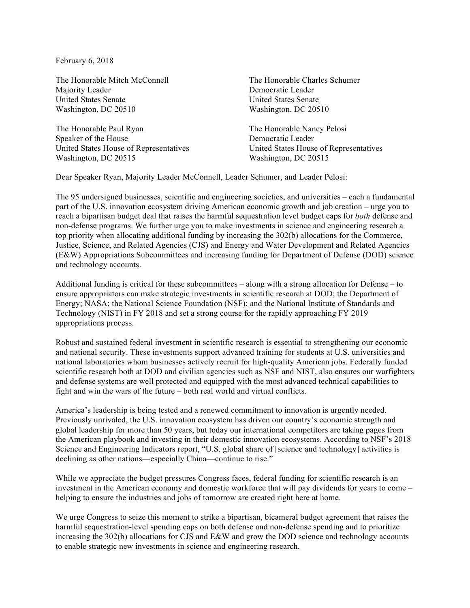February 6, 2018

The Honorable Mitch McConnell The Honorable Charles Schumer Majority Leader Democratic Leader United States Senate United States Senate Washington, DC 20510 Washington, DC 20510

The Honorable Paul Ryan The Honorable Nancy Pelosi Speaker of the House Democratic Leader United States House of Representatives United States House of Representatives Washington, DC 20515 Washington, DC 20515

Dear Speaker Ryan, Majority Leader McConnell, Leader Schumer, and Leader Pelosi:

The 95 undersigned businesses, scientific and engineering societies, and universities – each a fundamental part of the U.S. innovation ecosystem driving American economic growth and job creation – urge you to reach a bipartisan budget deal that raises the harmful sequestration level budget caps for *both* defense and non-defense programs. We further urge you to make investments in science and engineering research a top priority when allocating additional funding by increasing the 302(b) allocations for the Commerce, Justice, Science, and Related Agencies (CJS) and Energy and Water Development and Related Agencies (E&W) Appropriations Subcommittees and increasing funding for Department of Defense (DOD) science and technology accounts.

Additional funding is critical for these subcommittees – along with a strong allocation for Defense – to ensure appropriators can make strategic investments in scientific research at DOD; the Department of Energy; NASA; the National Science Foundation (NSF); and the National Institute of Standards and Technology (NIST) in FY 2018 and set a strong course for the rapidly approaching FY 2019 appropriations process.

Robust and sustained federal investment in scientific research is essential to strengthening our economic and national security. These investments support advanced training for students at U.S. universities and national laboratories whom businesses actively recruit for high-quality American jobs. Federally funded scientific research both at DOD and civilian agencies such as NSF and NIST, also ensures our warfighters and defense systems are well protected and equipped with the most advanced technical capabilities to fight and win the wars of the future – both real world and virtual conflicts.

America's leadership is being tested and a renewed commitment to innovation is urgently needed. Previously unrivaled, the U.S. innovation ecosystem has driven our country's economic strength and global leadership for more than 50 years, but today our international competitors are taking pages from the American playbook and investing in their domestic innovation ecosystems. According to NSF's 2018 Science and Engineering Indicators report, "U.S. global share of [science and technology] activities is declining as other nations—especially China—continue to rise."

While we appreciate the budget pressures Congress faces, federal funding for scientific research is an investment in the American economy and domestic workforce that will pay dividends for years to come – helping to ensure the industries and jobs of tomorrow are created right here at home.

We urge Congress to seize this moment to strike a bipartisan, bicameral budget agreement that raises the harmful sequestration-level spending caps on both defense and non-defense spending and to prioritize increasing the 302(b) allocations for CJS and E&W and grow the DOD science and technology accounts to enable strategic new investments in science and engineering research.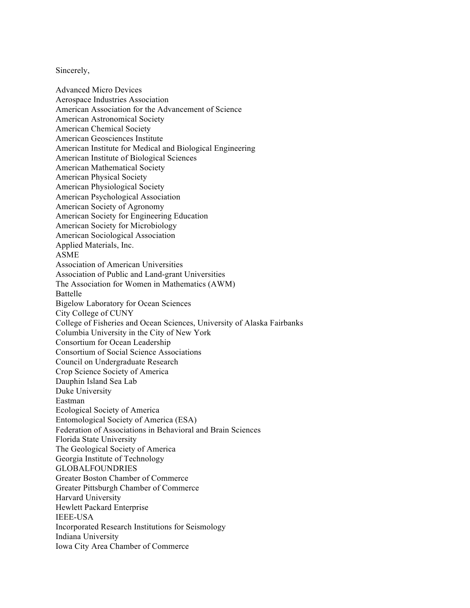Sincerely,

Advanced Micro Devices Aerospace Industries Association American Association for the Advancement of Science American Astronomical Society American Chemical Society American Geosciences Institute American Institute for Medical and Biological Engineering American Institute of Biological Sciences American Mathematical Society American Physical Society American Physiological Society American Psychological Association American Society of Agronomy American Society for Engineering Education American Society for Microbiology American Sociological Association Applied Materials, Inc. ASME Association of American Universities Association of Public and Land-grant Universities The Association for Women in Mathematics (AWM) Battelle Bigelow Laboratory for Ocean Sciences City College of CUNY College of Fisheries and Ocean Sciences, University of Alaska Fairbanks Columbia University in the City of New York Consortium for Ocean Leadership Consortium of Social Science Associations Council on Undergraduate Research Crop Science Society of America Dauphin Island Sea Lab Duke University Eastman Ecological Society of America Entomological Society of America (ESA) Federation of Associations in Behavioral and Brain Sciences Florida State University The Geological Society of America Georgia Institute of Technology GLOBALFOUNDRIES Greater Boston Chamber of Commerce Greater Pittsburgh Chamber of Commerce Harvard University Hewlett Packard Enterprise IEEE-USA Incorporated Research Institutions for Seismology Indiana University Iowa City Area Chamber of Commerce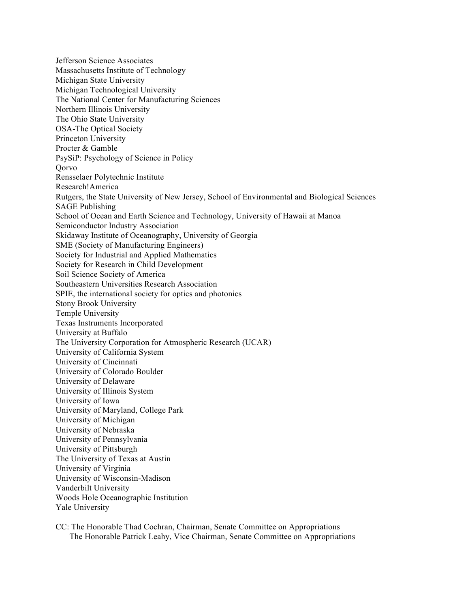Jefferson Science Associates Massachusetts Institute of Technology Michigan State University Michigan Technological University The National Center for Manufacturing Sciences Northern Illinois University The Ohio State University OSA-The Optical Society Princeton University Procter & Gamble PsySiP: Psychology of Science in Policy **O**orvo Rensselaer Polytechnic Institute Research!America Rutgers, the State University of New Jersey, School of Environmental and Biological Sciences SAGE Publishing School of Ocean and Earth Science and Technology, University of Hawaii at Manoa Semiconductor Industry Association Skidaway Institute of Oceanography, University of Georgia SME (Society of Manufacturing Engineers) Society for Industrial and Applied Mathematics Society for Research in Child Development Soil Science Society of America Southeastern Universities Research Association SPIE, the international society for optics and photonics Stony Brook University Temple University Texas Instruments Incorporated University at Buffalo The University Corporation for Atmospheric Research (UCAR) University of California System University of Cincinnati University of Colorado Boulder University of Delaware University of Illinois System University of Iowa University of Maryland, College Park University of Michigan University of Nebraska University of Pennsylvania University of Pittsburgh The University of Texas at Austin University of Virginia University of Wisconsin-Madison Vanderbilt University Woods Hole Oceanographic Institution Yale University

CC: The Honorable Thad Cochran, Chairman, Senate Committee on Appropriations The Honorable Patrick Leahy, Vice Chairman, Senate Committee on Appropriations